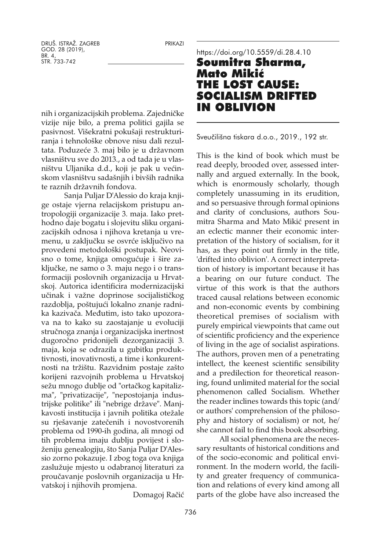nih i organizacijskih problema. Zajedničke vizije nije bilo, a prema politici gajila se pasivnost. Višekratni pokušaji restrukturiranja i tehnološke obnove nisu dali rezultata. Poduzeće 3. maj bilo je u državnom vlasništvu sve do 2013., a od tada je u vlasništvu Uljanika d.d., koji je pak u većinskom vlasništvu sadašnjih i bivših radnika te raznih državnih fondova.

Sanja Puljar D'Alessio do kraja knjige ostaje vjerna relacijskom pristupu antropologiji organizacije 3. maja. Iako prethodno daje bogatu i slojevitu sliku organizacijskih odnosa i njihova kretanja u vremenu, u zaključku se osvrće isključivo na provedeni metodološki postupak. Neovisno o tome, knjiga omogućuje i šire zaključke, ne samo o 3. maju nego i o transformaciji poslovnih organizacija u Hrvatskoj. Autorica identificira modernizacijski učinak i važne doprinose socijalističkog razdoblja, poštujući lokalno znanje radnika kazivača. Međutim, isto tako upozorava na to kako su zaostajanje u evoluciji stručnoga znanja i organizacijska inertnost dugoročno pridonijeli dezorganizaciji 3. maja, koja se odrazila u gubitku produktivnosti, inovativnosti, a time i konkurentnosti na tržištu. Razvidnim postaje zašto korijeni razvojnih problema u Hrvatskoj sežu mnogo dublje od "ortačkog kapitalizma", "privatizacije", "nepostojanja industrijske politike" ili "nebrige države". Manjkavosti institucija i javnih politika otežale su rješavanje zatečenih i novostvorenih problema od 1990-ih godina, ali mnogi od tih problema imaju dublju povijest i složeniju genealogiju, što Sanja Puljar D'Alessio zorno pokazuje. I zbog toga ova knjiga zaslužuje mjesto u odabranoj literaturi za proučavanje poslovnih organizacija u Hrvatskoj i njihovih promjena.

Domagoj Račić

## <https://doi.org/10.5559/di.28.4.10> Soumitra Sharma, Mato Mikić THE LOST CAUSE: SOCIALISM DRIFTED IN OBLIVION

Sveučilišna tiskara d.o.o., 2019., 192 str.

This is the kind of book which must be read deeply, brooded over, assessed internally and argued externally. In the book, which is enormously scholarly, though completely unassuming in its erudition, and so persuasive through formal opinions and clarity of conclusions, authors Soumitra Sharma and Mato Mikić present in an eclectic manner their economic interpretation of the history of socialism, for it has, as they point out firmly in the title, 'drifted into oblivion'. A correct interpretation of history is important because it has a bearing on our future conduct. The virtue of this work is that the authors traced causal relations between economic and non-economic events by combining theoretical premises of socialism with purely empirical viewpoints that came out of scientific proficiency and the experience of living in the age of socialist aspirations. The authors, proven men of a penetrating intellect, the keenest scientific sensibility and a predilection for theoretical reasoning, found unlimited material for the social phenomenon called Socialism. Whether the reader inclines towards this topic (and/ or authors' comprehension of the philosophy and history of socialism) or not, he/ she cannot fail to find this book absorbing.

All social phenomena are the necessary resultants of historical conditions and of the socio-economic and political environment. In the modern world, the facility and greater frequency of communication and relations of every kind among all parts of the globe have also increased the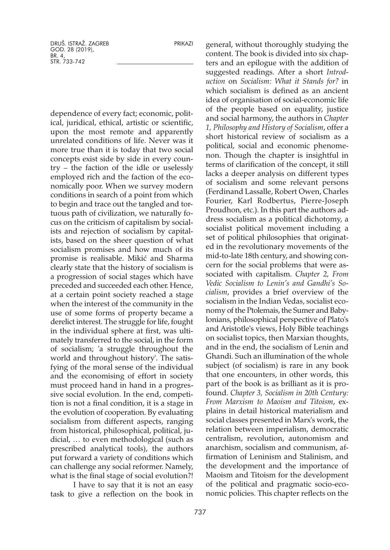dependence of every fact; economic, political, juridical, ethical, artistic or scientific, upon the most remote and apparently unrelated conditions of life. Never was it more true than it is today that two social concepts exist side by side in every country – the faction of the idle or uselessly employed rich and the faction of the economically poor. When we survey modern conditions in search of a point from which to begin and trace out the tangled and tortuous path of civilization, we naturally focus on the criticism of capitalism by socialists and rejection of socialism by capitalists, based on the sheer question of what socialism promises and how much of its promise is realisable. Mikić and Sharma clearly state that the history of socialism is a progression of social stages which have preceded and succeeded each other. Hence, at a certain point society reached a stage when the interest of the community in the use of some forms of property became a derelict interest. The struggle for life, fought in the individual sphere at first, was ultimately transferred to the social, in the form of socialism; 'a struggle throughout the world and throughout history'. The satisfying of the moral sense of the individual and the economising of effort in society must proceed hand in hand in a progressive social evolution. In the end, competition is not a final condition, it is a stage in the evolution of cooperation. By evaluating socialism from different aspects, ranging from historical, philosophical, political, judicial, … to even methodological (such as prescribed analytical tools), the authors put forward a variety of conditions which can challenge any social reformer. Namely, what is the final stage of social evolution?!

I have to say that it is not an easy task to give a reflection on the book in general, without thoroughly studying the content. The book is divided into six chapters and an epilogue with the addition of suggested readings. After a short *Introduction* on *Socialism: What it Stands for?* in which socialism is defined as an ancient idea of organisation of social-economic life of the people based on equality, justice and social harmony, the authors in *Chapter 1, Philosophy and History of Socialism*, offer a short historical review of socialism as a political, social and economic phenomenon. Though the chapter is insightful in terms of clarification of the concept, it still lacks a deeper analysis on different types of socialism and some relevant persons (Ferdinand Lassalle, Robert Owen, Charles Fourier, Karl Rodbertus, Pierre-Joseph Proudhon, etc.). In this part the authors address socialism as a political dichotomy, a socialist political movement including a set of political philosophies that originated in the revolutionary movements of the mid-to-late 18th century, and showing concern for the social problems that were associated with capitalism. *Chapter 2, From Vedic Socialism to Lenin's and Gandhi's Socialism*, provides a brief overview of the socialism in the Indian Vedas, socialist economy of the Ptolemais, the Sumer and Babylonians, philosophical perspective of Plato's and Aristotle's views, Holy Bible teachings on socialist topics, then Marxian thoughts, and in the end, the socialism of Lenin and Ghandi. Such an illumination of the whole subject (of socialism) is rare in any book that one encounters, in other words, this part of the book is as brilliant as it is profound. *Chapter 3, Socialism in 20th Century: From Marxism to Maoism and Titoism*, explains in detail historical materialism and social classes presented in Marx's work, the relation between imperialism, democratic centralism, revolution, autonomism and anarchism, socialism and communism, affirmation of Leninism and Stalinism, and the development and the importance of Maoism and Titoism for the development of the political and pragmatic socio-economic policies. This chapter reflects on the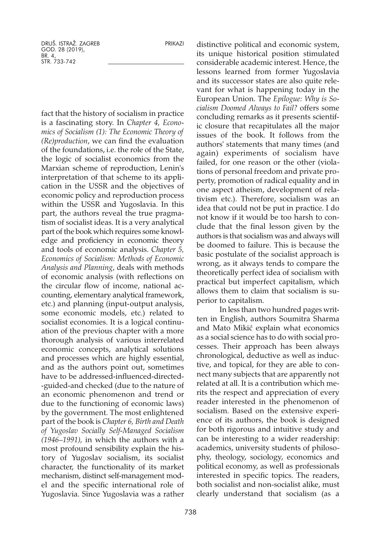fact that the history of socialism in practice is a fascinating story. In *Chapter 4, Economics of Socialism (1): The Economic Theory of (Re)production*, we can find the evaluation of the foundations, i.e. the role of the State, the logic of socialist economics from the Marxian scheme of reproduction, Lenin's interpretation of that scheme to its application in the USSR and the objectives of economic policy and reproduction process within the USSR and Yugoslavia. In this part, the authors reveal the true pragmatism of socialist ideas. It is a very analytical part of the book which requires some knowledge and proficiency in economic theory and tools of economic analysis. *Chapter 5, Economics of Socialism: Methods of Economic Analysis and Planning*, deals with methods of economic analysis (with reflections on the circular flow of income, national accounting, elementary analytical framework, etc.) and planning (input-output analysis, some economic models, etc.) related to socialist economies. It is a logical continuation of the previous chapter with a more thorough analysis of various interrelated economic concepts, analytical solutions and processes which are highly essential, and as the authors point out, sometimes have to be addressed-influenced-directed- -guided-and checked (due to the nature of an economic phenomenon and trend or due to the functioning of economic laws) by the government. The most enlightened part of the book is *Chapter 6, Birth and Death of Yugoslav Socially Self-Managed Socialism (1946–1991),* in which the authors with a most profound sensibility explain the history of Yugoslav socialism, its socialist character, the functionality of its market mechanism, distinct self-management model and the specific international role of Yugoslavia. Since Yugoslavia was a rather

738

distinctive political and economic system, its unique historical position stimulated considerable academic interest. Hence, the lessons learned from former Yugoslavia and its successor states are also quite relevant for what is happening today in the European Union. The *Epilogue: Why is Socialism Doomed Always to Fail?* offers some concluding remarks as it presents scientific closure that recapitulates all the major issues of the book. It follows from the authors' statements that many times (and again) experiments of socialism have failed, for one reason or the other (violations of personal freedom and private property, promotion of radical equality and in one aspect atheism, development of relativism etc.). Therefore, socialism was an idea that could not be put in practice. I do not know if it would be too harsh to conclude that the final lesson given by the authors is that socialism was and always will be doomed to failure. This is because the basic postulate of the socialist approach is wrong, as it always tends to compare the theoretically perfect idea of socialism with practical but imperfect capitalism, which allows them to claim that socialism is superior to capitalism.

In less than two hundred pages written in English, authors Soumitra Sharma and Mato Mikić explain what economics as a social science has to do with social processes. Their approach has been always chronological, deductive as well as inductive, and topical, for they are able to connect many subjects that are apparently not related at all. It is a contribution which merits the respect and appreciation of every reader interested in the phenomenon of socialism. Based on the extensive experience of its authors, the book is designed for both rigorous and intuitive study and can be interesting to a wider readership: academics, university students of philosophy, theology, sociology, economics and political economy, as well as professionals interested in specific topics. The readers, both socialist and non-socialist alike, must clearly understand that socialism (as a